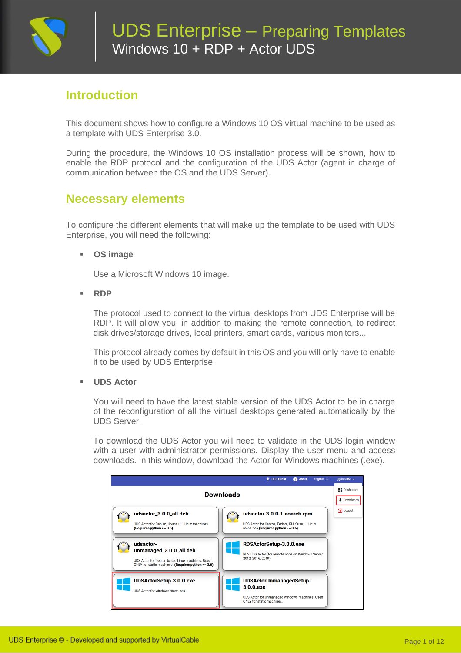

# **Introduction**

This document shows how to configure a Windows 10 OS virtual machine to be used as a template with UDS Enterprise 3.0.

During the procedure, the Windows 10 OS installation process will be shown, how to enable the RDP protocol and the configuration of the UDS Actor (agent in charge of communication between the OS and the UDS Server).

## **Necessary elements**

To configure the different elements that will make up the template to be used with UDS Enterprise, you will need the following:

#### ▪ **OS image**

Use a Microsoft Windows 10 image.

▪ **RDP**

The protocol used to connect to the virtual desktops from UDS Enterprise will be RDP. It will allow you, in addition to making the remote connection, to redirect disk drives/storage drives, local printers, smart cards, various monitors...

This protocol already comes by default in this OS and you will only have to enable it to be used by UDS Enterprise.

▪ **UDS Actor**

You will need to have the latest stable version of the UDS Actor to be in charge of the reconfiguration of all the virtual desktops generated automatically by the UDS Server.

To download the UDS Actor you will need to validate in the UDS login window with a user with administrator permissions. Display the user menu and access downloads. In this window, download the Actor for Windows machines (.exe).

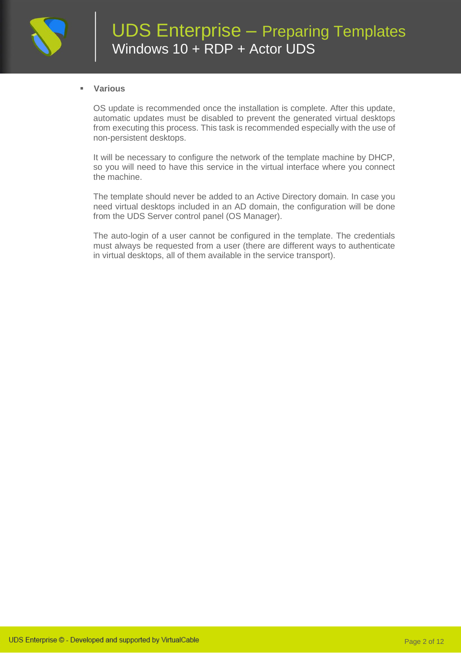

#### ▪ **Various**

OS update is recommended once the installation is complete. After this update, automatic updates must be disabled to prevent the generated virtual desktops from executing this process. This task is recommended especially with the use of non-persistent desktops.

It will be necessary to configure the network of the template machine by DHCP, so you will need to have this service in the virtual interface where you connect the machine.

The template should never be added to an Active Directory domain. In case you need virtual desktops included in an AD domain, the configuration will be done from the UDS Server control panel (OS Manager).

The auto-login of a user cannot be configured in the template. The credentials must always be requested from a user (there are different ways to authenticate in virtual desktops, all of them available in the service transport).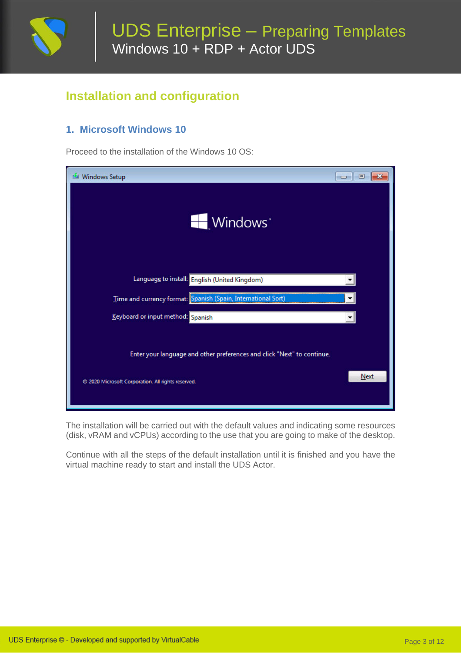

# **Installation and configuration**

### **1. Microsoft Windows 10**

Proceed to the installation of the Windows 10 OS:

| <b>Windows Setup</b>                                                                                                        | 回<br>$\mathbf x$<br>$\Box$ |
|-----------------------------------------------------------------------------------------------------------------------------|----------------------------|
| Windows <sup>*</sup>                                                                                                        |                            |
| Language to install: English (United Kingdom)                                                                               |                            |
| Time and currency format: Spanish (Spain, International Sort)                                                               |                            |
| Keyboard or input method: Spanish                                                                                           |                            |
| Enter your language and other preferences and click "Next" to continue.<br>2020 Microsoft Corporation. All rights reserved. | Next                       |

The installation will be carried out with the default values and indicating some resources (disk, vRAM and vCPUs) according to the use that you are going to make of the desktop.

Continue with all the steps of the default installation until it is finished and you have the virtual machine ready to start and install the UDS Actor.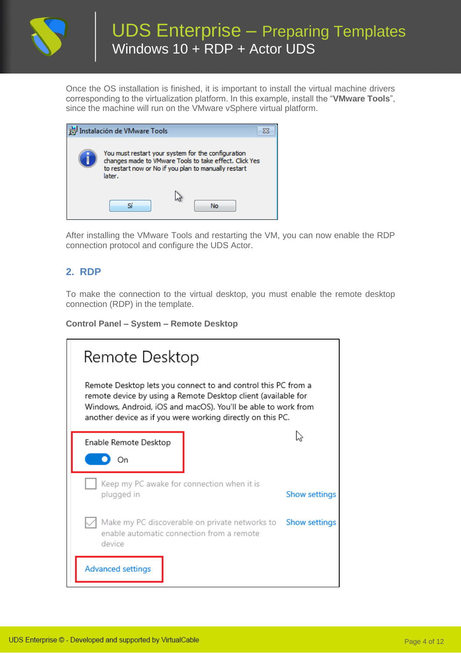

# UDS Enterprise – Preparing Templates Windows 10 + RDP + Actor UDS

Once the OS installation is finished, it is important to install the virtual machine drivers corresponding to the virtualization platform. In this example, install the "**VMware Tools**", since the machine will run on the VMware vSphere virtual platform.

| Instalación de VMware Tools                                                                                                                                                    |    |  |
|--------------------------------------------------------------------------------------------------------------------------------------------------------------------------------|----|--|
| You must restart your system for the configuration<br>changes made to VMware Tools to take effect. Click Yes<br>to restart now or No if you plan to manually restart<br>later. |    |  |
|                                                                                                                                                                                | No |  |

After installing the VMware Tools and restarting the VM, you can now enable the RDP connection protocol and configure the UDS Actor.

### **2. RDP**

To make the connection to the virtual desktop, you must enable the remote desktop connection (RDP) in the template.

#### **Control Panel – System – Remote Desktop**

| Remote Desktop                                                                                                                                                                                                                                                |                      |  |  |  |  |  |
|---------------------------------------------------------------------------------------------------------------------------------------------------------------------------------------------------------------------------------------------------------------|----------------------|--|--|--|--|--|
| Remote Desktop lets you connect to and control this PC from a<br>remote device by using a Remote Desktop client (available for<br>Windows, Android, iOS and macOS). You'll be able to work from<br>another device as if you were working directly on this PC. |                      |  |  |  |  |  |
| Enable Remote Desktop                                                                                                                                                                                                                                         |                      |  |  |  |  |  |
| Οn                                                                                                                                                                                                                                                            |                      |  |  |  |  |  |
| Keep my PC awake for connection when it is<br>plugged in                                                                                                                                                                                                      | <b>Show settings</b> |  |  |  |  |  |
| Make my PC discoverable on private networks to Show settings<br>enable automatic connection from a remote<br>device                                                                                                                                           |                      |  |  |  |  |  |
| <b>Advanced settings</b>                                                                                                                                                                                                                                      |                      |  |  |  |  |  |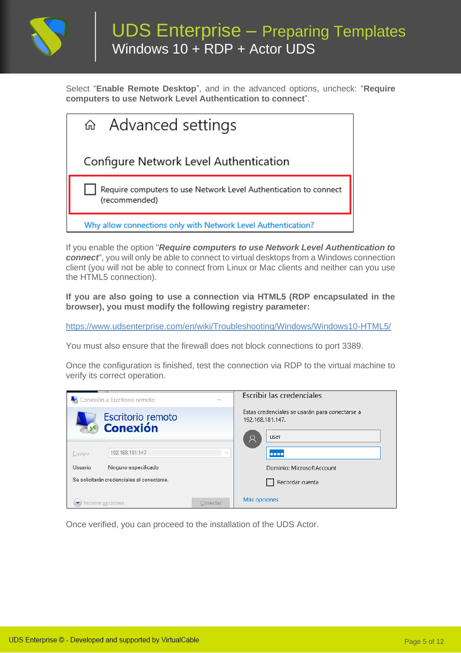

Select "**Enable Remote Desktop**", and in the advanced options, uncheck: "**Require computers to use Network Level Authentication to connect**".

| a Advanced settings                                                               |
|-----------------------------------------------------------------------------------|
| Configure Network Level Authentication                                            |
| Require computers to use Network Level Authentication to connect<br>(recommended) |
| Why allow connections only with Network Level Authentication?                     |

If you enable the option "*Require computers to use Network Level Authentication to connect*", you will only be able to connect to virtual desktops from a Windows connection client (you will not be able to connect from Linux or Mac clients and neither can you use the HTML5 connection).

**If you are also going to use a connection via HTML5 (RDP encapsulated in the browser), you must modify the following registry parameter:**

<https://www.udsenterprise.com/en/wiki/Troubleshooting/Windows/Windows10-HTML5/>

You must also ensure that the firewall does not block connections to port 3389.

Once the configuration is finished, test the connection via RDP to the virtual machine to verify its correct operation.

|          | Conexión a Escritorio remoto                            |          | Escribir las credenciales                                                                                         |
|----------|---------------------------------------------------------|----------|-------------------------------------------------------------------------------------------------------------------|
| Equipo:  | Escritorio remoto<br><b>Conexión</b><br>192.168.181.147 | $\sim$   | Estas credenciales se usarán para conectarse a<br>192.168.181.147.<br>user<br>Q<br>$\bullet\bullet\bullet\bullet$ |
| Usuario: | Ninguno especificado                                    |          | Dominio: MicrosoftAccount                                                                                         |
|          | Se solicitarán credenciales al conectarse.              |          | Recordar cuenta                                                                                                   |
|          | Mostrar opciones                                        | Conectar | Más opciones                                                                                                      |

Once verified, you can proceed to the installation of the UDS Actor.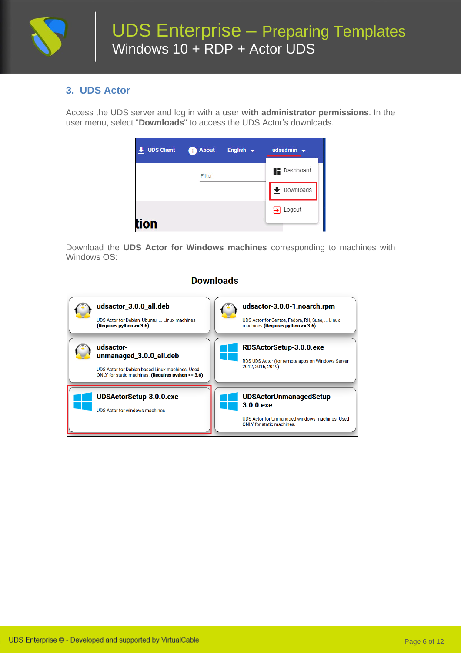

### **3. UDS Actor**

Access the UDS server and log in with a user **with administrator permissions**. In the user menu, select "**Downloads**" to access the UDS Actor's downloads.

| <b>UDS Client</b> | <b>About</b><br>k p | English $\div$ | udsadmin $\sim$      |
|-------------------|---------------------|----------------|----------------------|
|                   | Filter              |                | <b>Dashboard</b>     |
|                   |                     |                | Downloads            |
|                   |                     |                | $\Rightarrow$ Logout |
| ion               |                     |                |                      |

Download the **UDS Actor for Windows machines** corresponding to machines with Windows OS:

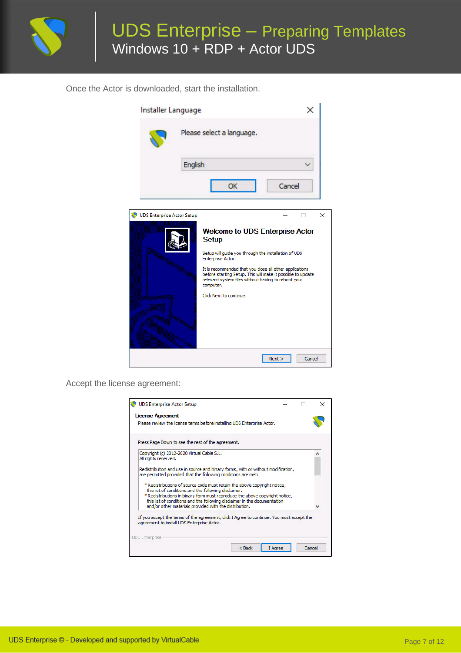

Once the Actor is downloaded, start the installation.

| Installer Language         |         |                                                                                                                                                                                                                                                                                                                                                              |        |        |
|----------------------------|---------|--------------------------------------------------------------------------------------------------------------------------------------------------------------------------------------------------------------------------------------------------------------------------------------------------------------------------------------------------------------|--------|--------|
|                            |         | Please select a language.                                                                                                                                                                                                                                                                                                                                    |        |        |
|                            | English |                                                                                                                                                                                                                                                                                                                                                              |        |        |
|                            |         | OK                                                                                                                                                                                                                                                                                                                                                           | Cancel |        |
| UDS Enterprise Actor Setup |         | <b>Welcome to UDS Enterprise Actor</b><br><b>Setup</b><br>Setup will quide you through the installation of UDS<br>Enterprise Actor.<br>It is recommended that you close all other applications<br>before starting Setup. This will make it possible to update<br>relevant system files without having to reboot your<br>computer.<br>Click Next to continue. |        | X      |
|                            |         |                                                                                                                                                                                                                                                                                                                                                              | Next > | Cancel |

Accept the license agreement:

| Press Page Down to see the rest of the agreement.                                                                                                                                                               |  |  |  |
|-----------------------------------------------------------------------------------------------------------------------------------------------------------------------------------------------------------------|--|--|--|
| Copyright (c) 2012-2020 Virtual Cable S.L.<br>All rights reserved.                                                                                                                                              |  |  |  |
| Redistribution and use in source and binary forms, with or without modification,<br>are permitted provided that the following conditions are met:                                                               |  |  |  |
| * Redistributions of source code must retain the above copyright notice,<br>this list of conditions and the following disclaimer.<br>*Redistributions in binary form must reproduce the above copyright notice, |  |  |  |
| this list of conditions and the following disclaimer in the documentation<br>and/or other materials provided with the distribution.                                                                             |  |  |  |
| If you accept the terms of the agreement, dick I Agree to continue. You must accept the                                                                                                                         |  |  |  |
| agreement to install UDS Enterprise Actor.                                                                                                                                                                      |  |  |  |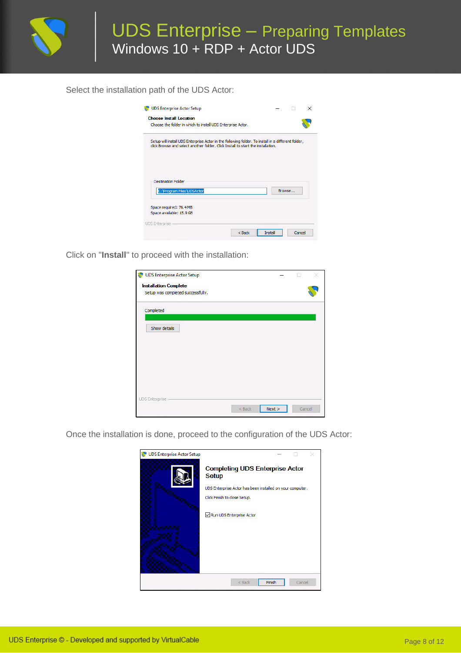

Select the installation path of the UDS Actor:

| Choose the folder in which to install UDS Enterprise Actor.                                        |  |        |
|----------------------------------------------------------------------------------------------------|--|--------|
| Setup will install UDS Enterprise Actor in the following folder. To install in a different folder, |  |        |
| click Browse and select another folder. Click Install to start the installation.                   |  |        |
|                                                                                                    |  |        |
|                                                                                                    |  |        |
|                                                                                                    |  |        |
| <b>Destination Folder</b>                                                                          |  |        |
| C: \Program Files\UDSActor                                                                         |  | Browse |
|                                                                                                    |  |        |
| Space required: 76.4 MB<br>Space available: 15.9 GB                                                |  |        |

Click on "**Install**" to proceed with the installation:

| UDS Enterprise Actor Setup        |          |      |        |  |
|-----------------------------------|----------|------|--------|--|
| <b>Installation Complete</b>      |          |      |        |  |
| Setup was completed successfully. |          |      |        |  |
| Completed                         |          |      |        |  |
| Show details                      |          |      |        |  |
|                                   |          |      |        |  |
|                                   |          |      |        |  |
|                                   |          |      |        |  |
|                                   |          |      |        |  |
|                                   |          |      |        |  |
| <b>UDS</b> Enterprise             |          |      |        |  |
|                                   | $<$ Back | Next | Cancel |  |

Once the installation is done, proceed to the configuration of the UDS Actor:

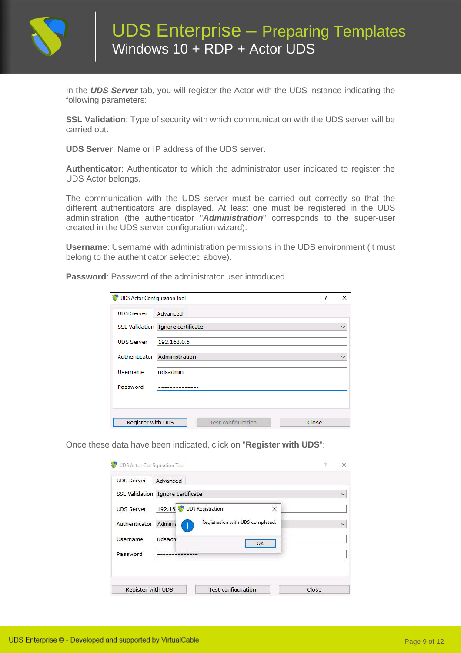

In the *UDS Server* tab, you will register the Actor with the UDS instance indicating the following parameters:

**SSL Validation**: Type of security with which communication with the UDS server will be carried out.

**UDS Server**: Name or IP address of the UDS server.

**Authenticator**: Authenticator to which the administrator user indicated to register the UDS Actor belongs.

The communication with the UDS server must be carried out correctly so that the different authenticators are displayed. At least one must be registered in the UDS administration (the authenticator "*Administration*" corresponds to the super-user created in the UDS server configuration wizard).

**Username**: Username with administration permissions in the UDS environment (it must belong to the authenticator selected above).

**Password**: Password of the administrator user introduced.

| UDS Actor Configuration Tool |                                    | ? | ×            |
|------------------------------|------------------------------------|---|--------------|
| <b>UDS Server</b>            | Advanced                           |   |              |
|                              | SSL Validation Ignore certificate  |   | $\checkmark$ |
| <b>UDS Server</b>            | 192.168.0.6                        |   |              |
| Authenticator                | Administration                     |   | $\checkmark$ |
| Username                     | udsadmin                           |   |              |
| Password                     |                                    |   |              |
|                              |                                    |   |              |
| Register with UDS            | <b>Test configuration</b><br>Close |   |              |

Once these data have been indicated, click on "**Register with UDS**":

| UDS Actor Configuration Tool |                                   |                                  |              |
|------------------------------|-----------------------------------|----------------------------------|--------------|
| <b>UDS Server</b>            | Advanced                          |                                  |              |
|                              | SSL Validation Ignore certificate |                                  | $\checkmark$ |
| <b>UDS Server</b>            | 192.16 UDS Registration           | ×                                |              |
| Authenticator                | Adminis                           | Registration with UDS completed. | $\ddotmark$  |
| Username                     | udsadn                            | OK                               |              |
| Password                     |                                   |                                  |              |
|                              |                                   |                                  |              |
| Register with UDS            |                                   | <b>Test configuration</b>        | Close        |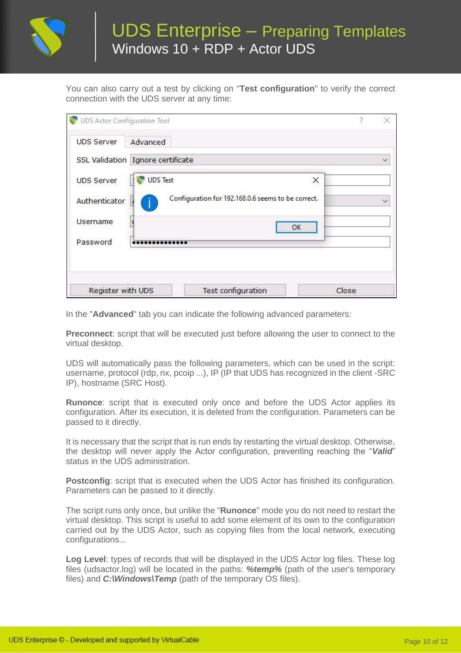

# UDS Enterprise – Preparing Templates Windows 10 + RDP + Actor UDS

You can also carry out a test by clicking on "**Test configuration**" to verify the correct connection with the UDS server at any time:

| SSL Validation Ignore certificate                                   |              |  |  |
|---------------------------------------------------------------------|--------------|--|--|
| <b>UDS Test</b><br><b>UDS Server</b>                                | ×            |  |  |
| Configuration for 192.168.0.6 seems to be correct.<br>Authenticator | $\checkmark$ |  |  |
| Username                                                            | OK           |  |  |
| Password                                                            |              |  |  |
|                                                                     |              |  |  |

In the "**Advanced**" tab you can indicate the following advanced parameters:

**Preconnect**: script that will be executed just before allowing the user to connect to the virtual desktop.

UDS will automatically pass the following parameters, which can be used in the script: username, protocol (rdp, nx, pcoip ...), IP (IP that UDS has recognized in the client -SRC IP), hostname (SRC Host).

**Runonce**: script that is executed only once and before the UDS Actor applies its configuration. After its execution, it is deleted from the configuration. Parameters can be passed to it directly.

It is necessary that the script that is run ends by restarting the virtual desktop. Otherwise, the desktop will never apply the Actor configuration, preventing reaching the "*Valid*" status in the UDS administration.

**Postconfig**: script that is executed when the UDS Actor has finished its configuration. Parameters can be passed to it directly.

The script runs only once, but unlike the "**Runonce**" mode you do not need to restart the virtual desktop. This script is useful to add some element of its own to the configuration carried out by the UDS Actor, such as copying files from the local network, executing configurations...

**Log Level**: types of records that will be displayed in the UDS Actor log files. These log files (udsactor.log) will be located in the paths: *%temp%* (path of the user's temporary files) and *C:\Windows\Temp* (path of the temporary OS files).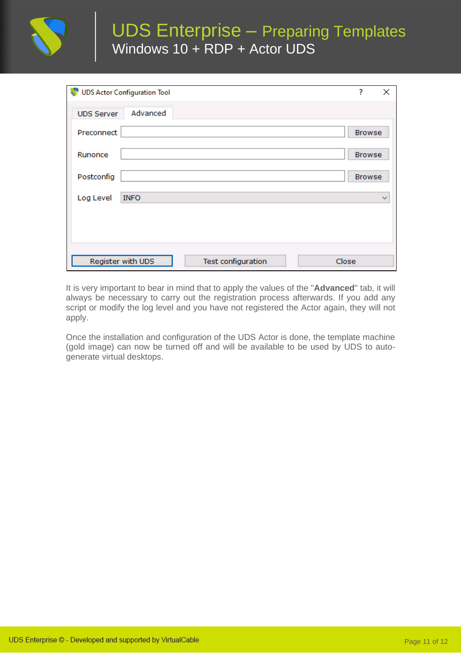

# UDS Enterprise – Preparing Templates Windows 10 + RDP + Actor UDS

|                   | <b>UDS Actor Configuration Tool</b> |                    | ?<br>×        |
|-------------------|-------------------------------------|--------------------|---------------|
| <b>UDS Server</b> | Advanced                            |                    |               |
| Preconnect        |                                     |                    | <b>Browse</b> |
| Runonce           |                                     |                    | <b>Browse</b> |
| Postconfig        |                                     |                    | <b>Browse</b> |
| Log Level         | <b>INFO</b>                         |                    | $\checkmark$  |
|                   |                                     |                    |               |
| Register with UDS |                                     | Test configuration | Close         |

It is very important to bear in mind that to apply the values of the "**Advanced**" tab, it will always be necessary to carry out the registration process afterwards. If you add any script or modify the log level and you have not registered the Actor again, they will not apply.

Once the installation and configuration of the UDS Actor is done, the template machine (gold image) can now be turned off and will be available to be used by UDS to autogenerate virtual desktops.